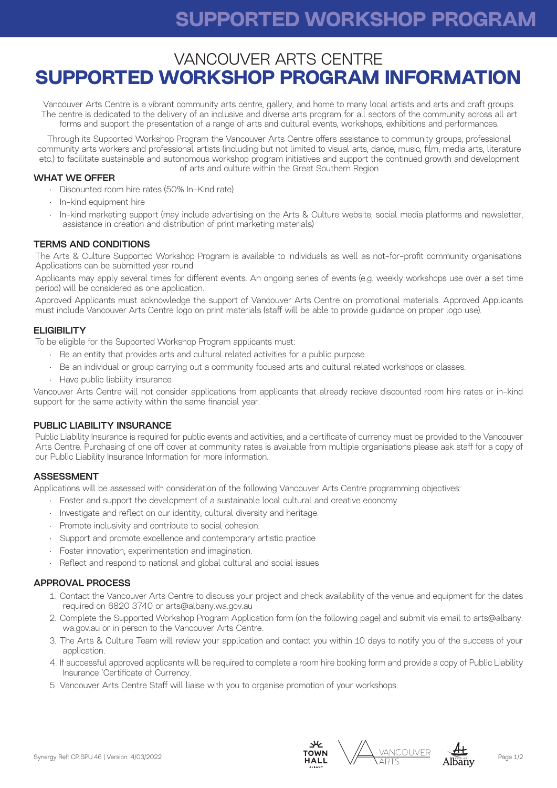# **IN-KIND SUPPORT SUPPORTED WORKSHOP PROGRAM**

## VANCOUVER ARTS CENTRE **SUPPORTED WORKSHOP PROGRAM INFORMATION**

Vancouver Arts Centre is a vibrant community arts centre, gallery, and home to many local artists and arts and craft groups. The centre is dedicated to the delivery of an inclusive and diverse arts program for all sectors of the community across all art forms and support the presentation of a range of arts and cultural events, workshops, exhibitions and performances.

Through its Supported Workshop Program the Vancouver Arts Centre offers assistance to community groups, professional community arts workers and professional artists (including but not limited to visual arts, dance, music, film, media arts, literature etc.) to facilitate sustainable and autonomous workshop program initiatives and support the continued growth and development of arts and culture within the Great Southern Region

#### WHAT WE OFFER

- Discounted room hire rates (50% In-Kind rate)
- In-kind equipment hire
- In-kind marketing support (may include advertising on the Arts & Culture website, social media platforms and newsletter, assistance in creation and distribution of print marketing materials)

#### TERMS AND CONDITIONS

The Arts & Culture Supported Workshop Program is available to individuals as well as not-for-profit community organisations. Applications can be submitted year round.

Applicants may apply several times for different events. An ongoing series of events (e.g. weekly workshops use over a set time period) will be considered as one application.

Approved Applicants must acknowledge the support of Vancouver Arts Centre on promotional materials. Approved Applicants must include Vancouver Arts Centre logo on print materials (staff will be able to provide guidance on proper logo use).

#### **ELIGIBILITY**

To be eligible for the Supported Workshop Program applicants must:

- Be an entity that provides arts and cultural related activities for a public purpose.
- Be an individual or group carrying out a community focused arts and cultural related workshops or classes.
- Have public liability insurance

Vancouver Arts Centre will not consider applications from applicants that already recieve discounted room hire rates or in-kind support for the same activity within the same financial year.

#### PUBLIC LIABILITY INSURANCE

Public Liability Insurance is required for public events and activities, and a certificate of currency must be provided to the Vancouver Arts Centre. Purchasing of one off cover at community rates is available from multiple organisations please ask staff for a copy of our Public Liability Insurance Information for more information.

#### ASSESSMENT

Applications will be assessed with consideration of the following Vancouver Arts Centre programming objectives:

- Foster and support the development of a sustainable local cultural and creative economy
- Investigate and reflect on our identity, cultural diversity and heritage.
- Promote inclusivity and contribute to social cohesion.
- Support and promote excellence and contemporary artistic practice
- Foster innovation, experimentation and imagination.
- Reflect and respond to national and global cultural and social issues

#### APPROVAL PROCESS

- 1. Contact the Vancouver Arts Centre to discuss your project and check availability of the venue and equipment for the dates required on 6820 3740 or arts@albany.wa.gov.au
- 2. Complete the Supported Workshop Program Application form (on the following page) and submit via email to arts@albany. wa.gov.au or in person to the Vancouver Arts Centre.
- 3. The Arts & Culture Team will review your application and contact you within 10 days to notify you of the success of your application.
- 4. If successful approved applicants will be required to complete a room hire booking form and provide a copy of Public Liability Insurance 'Certificate of Currency.
- 5. Vancouver Arts Centre Staff will liaise with you to organise promotion of your workshops.